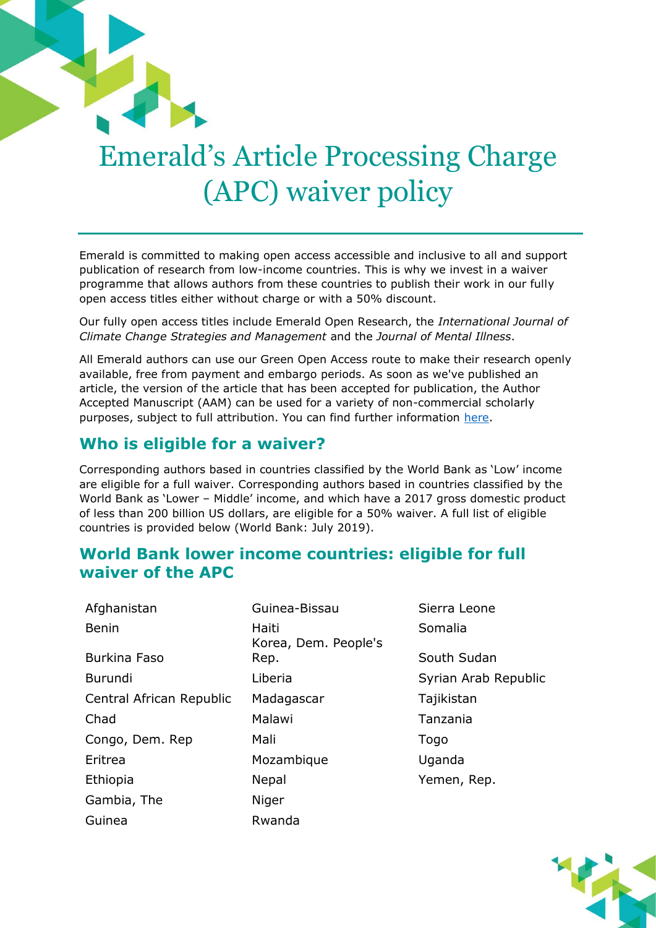# Emerald's Article Processing Charge (APC) waiver policy

Emerald is committed to making open access accessible and inclusive to all and support publication of research from low-income countries. This is why we invest in a waiver programme that allows authors from these countries to publish their work in our fully open access titles either without charge or with a 50% discount.

Our fully open access titles include Emerald Open Research, the *International Journal of Climate Change Strategies and Management* and the *Journal of Mental Illness*.

All Emerald authors can use our Green Open Access route to make their research openly available, free from payment and embargo periods. As soon as we've published an article, the version of the article that has been accepted for publication, the Author Accepted Manuscript (AAM) can be used for a variety of non-commercial scholarly purposes, subject to full attribution. You can find further information [here.](https://www.emeraldgrouppublishing.com/openaccess/oa_policies.htm)

#### **Who is eligible for a waiver?**

Corresponding authors based in countries classified by the World Bank as 'Low' income are eligible for a full waiver. Corresponding authors based in countries classified by the World Bank as 'Lower – Middle' income, and which have a 2017 gross domestic product of less than 200 billion US dollars, are eligible for a 50% waiver. A full list of eligible countries is provided below (World Bank: July 2019).

#### **World Bank lower income countries: eligible for full waiver of the APC**

| Afghanistan              | Guinea-Bissau                 | Sierra L  |
|--------------------------|-------------------------------|-----------|
| <b>Benin</b>             | Haiti<br>Korea, Dem. People's | Somalia   |
| <b>Burkina Faso</b>      | Rep.                          | South S   |
| <b>Burundi</b>           | Liberia                       | Syrian A  |
| Central African Republic | Madagascar                    | Tajikista |
| Chad                     | Malawi                        | Tanzani   |
| Congo, Dem. Rep          | Mali                          | Togo      |
| Eritrea                  | Mozambique                    | Uganda    |
| Ethiopia                 | Nepal                         | Yemen,    |
| Gambia, The              | Niger                         |           |
| Guinea                   | Rwanda                        |           |

Sierra Leone South Sudan Syrian Arab Republic Tajikistan Tanzania Uganda Yemen, Rep.